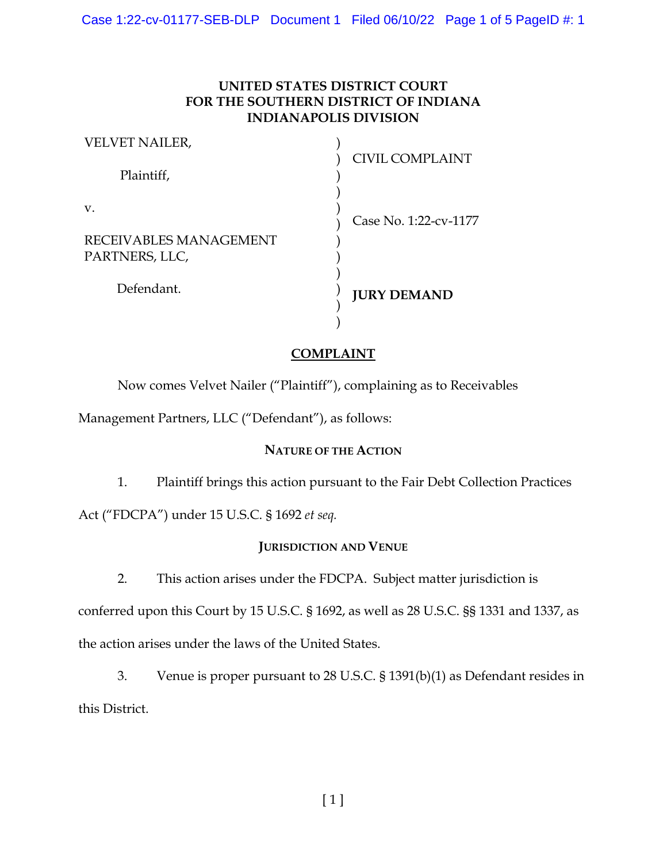# **UNITED STATES DISTRICT COURT FOR THE SOUTHERN DISTRICT OF INDIANA INDIANAPOLIS DIVISION**

| <b>CIVIL COMPLAINT</b> |
|------------------------|
| Case No. 1:22-cv-1177  |
|                        |
| <b>JURY DEMAND</b>     |
|                        |

# **COMPLAINT**

Now comes Velvet Nailer ("Plaintiff"), complaining as to Receivables

Management Partners, LLC ("Defendant"), as follows:

### **NATURE OF THE ACTION**

1. Plaintiff brings this action pursuant to the Fair Debt Collection Practices

Act ("FDCPA") under 15 U.S.C. § 1692 *et seq.*

### **JURISDICTION AND VENUE**

2. This action arises under the FDCPA. Subject matter jurisdiction is

conferred upon this Court by 15 U.S.C. § 1692, as well as 28 U.S.C. §§ 1331 and 1337, as the action arises under the laws of the United States.

3. Venue is proper pursuant to 28 U.S.C. § 1391(b)(1) as Defendant resides in this District.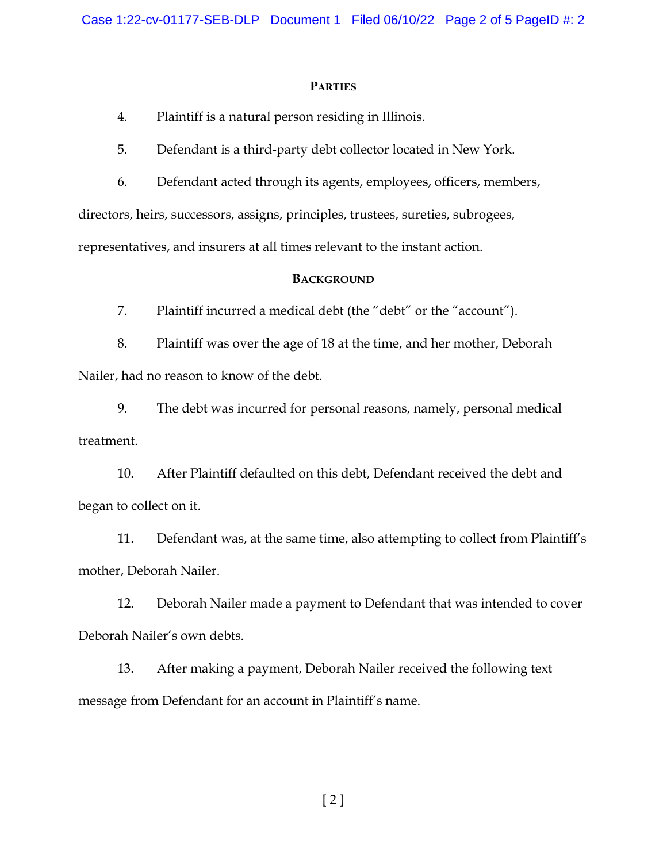#### **PARTIES**

4. Plaintiff is a natural person residing in Illinois.

5. Defendant is a third-party debt collector located in New York.

6. Defendant acted through its agents, employees, officers, members,

directors, heirs, successors, assigns, principles, trustees, sureties, subrogees,

representatives, and insurers at all times relevant to the instant action.

#### **BACKGROUND**

7. Plaintiff incurred a medical debt (the "debt" or the "account").

8. Plaintiff was over the age of 18 at the time, and her mother, Deborah Nailer, had no reason to know of the debt.

9. The debt was incurred for personal reasons, namely, personal medical treatment.

10. After Plaintiff defaulted on this debt, Defendant received the debt and began to collect on it.

11. Defendant was, at the same time, also attempting to collect from Plaintiff's mother, Deborah Nailer.

12. Deborah Nailer made a payment to Defendant that was intended to cover Deborah Nailer's own debts.

13. After making a payment, Deborah Nailer received the following text message from Defendant for an account in Plaintiff's name.

[ 2 ]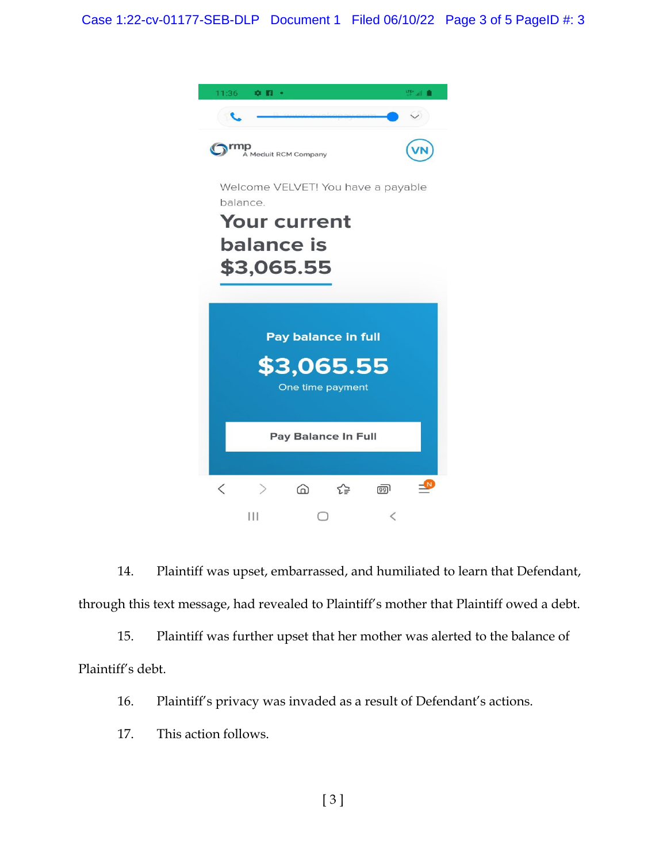

14. Plaintiff was upset, embarrassed, and humiliated to learn that Defendant, through this text message, had revealed to Plaintiff's mother that Plaintiff owed a debt.

15. Plaintiff was further upset that her mother was alerted to the balance of Plaintiff's debt.

16. Plaintiff's privacy was invaded as a result of Defendant's actions.

17. This action follows.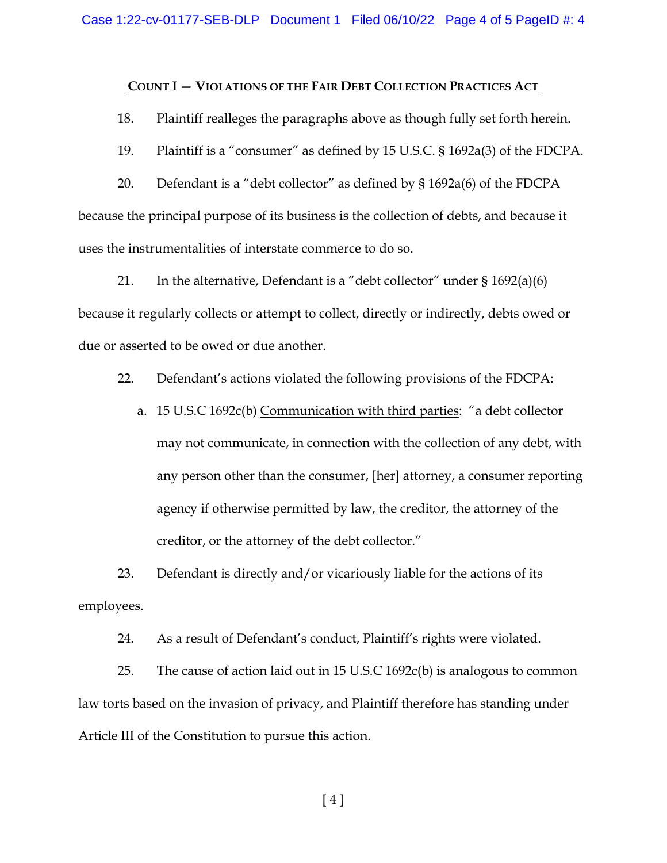#### **COUNT I — VIOLATIONS OF THE FAIR DEBT COLLECTION PRACTICES ACT**

18. Plaintiff realleges the paragraphs above as though fully set forth herein.

19. Plaintiff is a "consumer" as defined by 15 U.S.C. § 1692a(3) of the FDCPA.

20. Defendant is a "debt collector" as defined by § 1692a(6) of the FDCPA because the principal purpose of its business is the collection of debts, and because it uses the instrumentalities of interstate commerce to do so.

21. In the alternative, Defendant is a "debt collector" under  $\S 1692(a)(6)$ because it regularly collects or attempt to collect, directly or indirectly, debts owed or due or asserted to be owed or due another.

22. Defendant's actions violated the following provisions of the FDCPA:

a. 15 U.S.C 1692c(b) Communication with third parties: "a debt collector may not communicate, in connection with the collection of any debt, with any person other than the consumer, [her] attorney, a consumer reporting agency if otherwise permitted by law, the creditor, the attorney of the creditor, or the attorney of the debt collector."

23. Defendant is directly and/or vicariously liable for the actions of its employees.

24. As a result of Defendant's conduct, Plaintiff's rights were violated.

25. The cause of action laid out in 15 U.S.C 1692c(b) is analogous to common law torts based on the invasion of privacy, and Plaintiff therefore has standing under Article III of the Constitution to pursue this action.

[ 4 ]